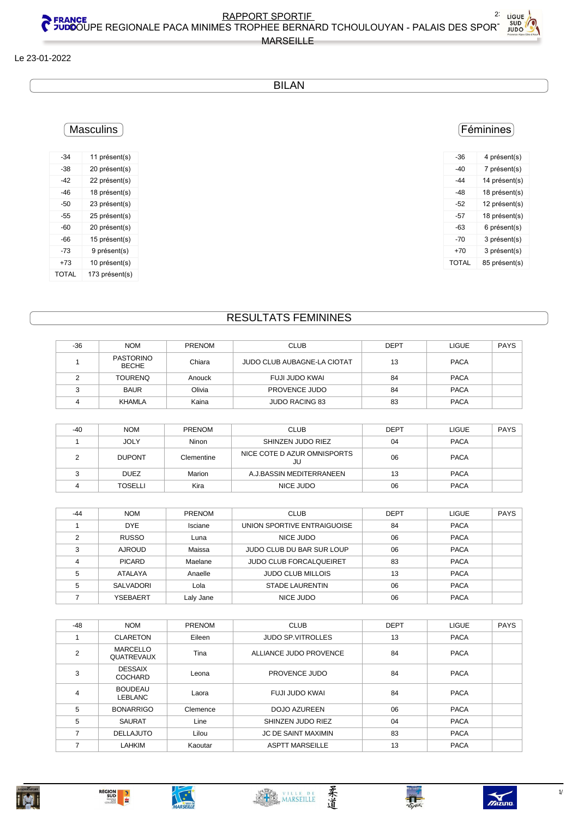#### Le 23-01-2022

#### **BILAN**

# **Masculins**

| $-34$ | 11 présent(s)  |
|-------|----------------|
| -38   | 20 présent(s)  |
| -42   | 22 présent(s)  |
| $-46$ | 18 présent(s)  |
| -50   | 23 présent(s)  |
| -55   | 25 présent(s)  |
| -60   | 20 présent(s)  |
| -66   | 15 présent(s)  |
| -73   | 9 présent(s)   |
| +73   | 10 présent(s)  |
| TOTAL | 173 présent(s) |

#### (Féminines)

| -36          | 4 présent(s)  |
|--------------|---------------|
| -40          | 7 présent(s)  |
| $-44$        | 14 présent(s) |
| $-48$        | 18 présent(s) |
| -52          | 12 présent(s) |
| -57          | 18 présent(s) |
| -63          | 6 présent(s)  |
| -70          | 3 présent(s)  |
| $+70$        | 3 présent(s)  |
| <b>TOTAL</b> | 85 présent(s) |
|              |               |

### **RESULTATS FEMININES**

| $-36$ | <b>NOM</b>                       | PRENOM | <b>CLUB</b>                 | <b>DEPT</b> | <b>LIGUE</b> | <b>PAYS</b> |
|-------|----------------------------------|--------|-----------------------------|-------------|--------------|-------------|
|       | <b>PASTORINO</b><br><b>BECHE</b> | Chiara | JUDO CLUB AUBAGNE-LA CIOTAT | 13          | <b>PACA</b>  |             |
|       | <b>TOURENO</b>                   | Anouck | FUJI JUDO KWAI              | 84          | <b>PACA</b>  |             |
|       | <b>BAUR</b>                      | Olivia | PROVENCE JUDO               | 84          | <b>PACA</b>  |             |
|       | KHAMLA                           | Kaina  | <b>JUDO RACING 83</b>       | 83          | <b>PACA</b>  |             |

| $-40$ | <b>NOM</b>     | <b>PRENOM</b> | <b>CLUB</b>                       | <b>DEPT</b> | <b>LIGUE</b> | <b>PAYS</b> |
|-------|----------------|---------------|-----------------------------------|-------------|--------------|-------------|
|       | <b>JOLY</b>    | Ninon         | SHINZEN JUDO RIEZ                 | 04          | <b>PACA</b>  |             |
|       | <b>DUPONT</b>  | Clementine    | NICE COTE D AZUR OMNISPORTS<br>JU | 06          | <b>PACA</b>  |             |
|       | <b>DUEZ</b>    | Marion        | A.J.BASSIN MEDITERRANEEN          | 13          | <b>PACA</b>  |             |
|       | <b>TOSELLI</b> | Kira          | NICE JUDO                         | 06          | <b>PACA</b>  |             |

| $-44$ | <b>NOM</b>    | <b>PRENOM</b> | <b>CLUB</b>                    | <b>DEPT</b> | <b>LIGUE</b> | PAYS |
|-------|---------------|---------------|--------------------------------|-------------|--------------|------|
|       | <b>DYE</b>    | Isciane       | UNION SPORTIVE ENTRAIGUOISE    | 84          | <b>PACA</b>  |      |
|       | <b>RUSSO</b>  | Luna          | NICE JUDO                      | 06          | <b>PACA</b>  |      |
| ົ     | <b>AJROUD</b> | Maissa        | JUDO CLUB DU BAR SUR LOUP      | 06          | <b>PACA</b>  |      |
|       | <b>PICARD</b> | Maelane       | <b>JUDO CLUB FORCALQUEIRET</b> | 83          | <b>PACA</b>  |      |
|       | ATALAYA       | Anaelle       | <b>JUDO CLUB MILLOIS</b>       | 13          | <b>PACA</b>  |      |
|       | SALVADORI     | Lola          | <b>STADE LAURENTIN</b>         | 06          | <b>PACA</b>  |      |
|       | YSEBAERT      | Laly Jane     | NICE JUDO                      | 06          | <b>PACA</b>  |      |

| $-48$          | <b>NOM</b>                           | <b>PRENOM</b> | <b>CLUB</b>                | <b>DEPT</b> | <b>LIGUE</b> | <b>PAYS</b> |
|----------------|--------------------------------------|---------------|----------------------------|-------------|--------------|-------------|
|                | <b>CLARETON</b>                      | Eileen        | <b>JUDO SP.VITROLLES</b>   | 13          | <b>PACA</b>  |             |
| $\overline{2}$ | <b>MARCELLO</b><br><b>QUATREVAUX</b> | Tina          | ALLIANCE JUDO PROVENCE     | 84          | <b>PACA</b>  |             |
| 3              | <b>DESSAIX</b><br>COCHARD            | Leona         | PROVENCE JUDO              | 84          | <b>PACA</b>  |             |
| $\overline{4}$ | <b>BOUDEAU</b><br>LEBLANC            | Laora         | FUJI JUDO KWAI             | 84          | <b>PACA</b>  |             |
| 5              | <b>BONARRIGO</b>                     | Clemence      | <b>DOJO AZUREEN</b>        | 06          | <b>PACA</b>  |             |
| 5              | <b>SAURAT</b>                        | Line          | SHINZEN JUDO RIEZ          | 04          | <b>PACA</b>  |             |
| 7              | <b>DELLAJUTO</b>                     | Lilou         | <b>JC DE SAINT MAXIMIN</b> | 83          | <b>PACA</b>  |             |
| ⇁              | <b>LAHKIM</b>                        | Kaoutar       | <b>ASPTT MARSEILLE</b>     | 13          | <b>PACA</b>  |             |







柔道



 $\gamma$ 

Palais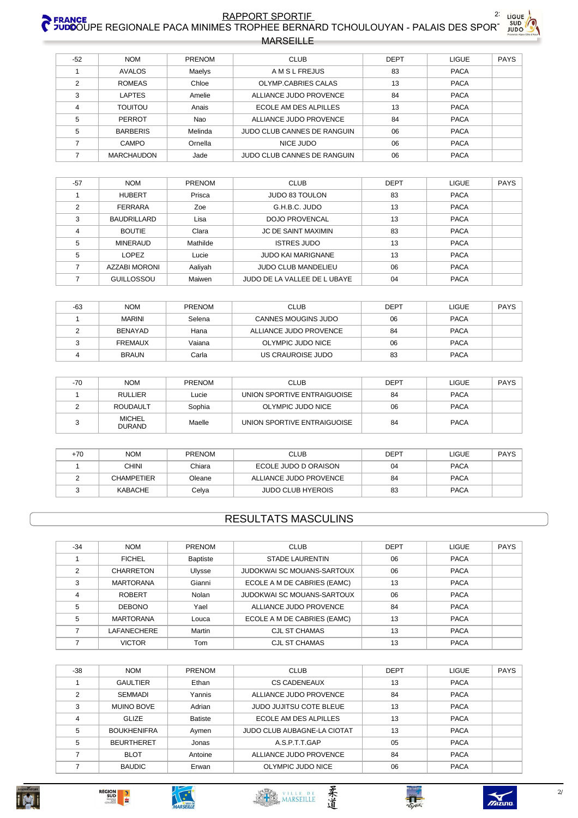

| $-52$ | <b>NOM</b>        | PRENOM  | <b>CLUB</b>                 | <b>DEPT</b> | <b>LIGUE</b> | PAYS |
|-------|-------------------|---------|-----------------------------|-------------|--------------|------|
|       | <b>AVALOS</b>     | Maelys  | <b>AMSLFREJUS</b>           | 83          | <b>PACA</b>  |      |
| 2     | <b>ROMEAS</b>     | Chloe   | OLYMP.CABRIES CALAS         | 13          | <b>PACA</b>  |      |
| 3     | <b>LAPTES</b>     | Amelie  | ALLIANCE JUDO PROVENCE      | 84          | <b>PACA</b>  |      |
| 4     | <b>TOUITOU</b>    | Anais   | ECOLE AM DES ALPILLES       | 13          | <b>PACA</b>  |      |
| 5     | <b>PERROT</b>     | Nao     | ALLIANCE JUDO PROVENCE      | 84          | <b>PACA</b>  |      |
| 5     | <b>BARBERIS</b>   | Melinda | JUDO CLUB CANNES DE RANGUIN | 06          | <b>PACA</b>  |      |
|       | CAMPO             | Ornella | NICE JUDO                   | 06          | <b>PACA</b>  |      |
|       | <b>MARCHAUDON</b> | Jade    | JUDO CLUB CANNES DE RANGUIN | 06          | <b>PACA</b>  |      |

| $-57$          | <b>NOM</b>           | <b>PRENOM</b> | <b>CLUB</b>                  | <b>DEPT</b> | <b>LIGUE</b> | <b>PAYS</b> |
|----------------|----------------------|---------------|------------------------------|-------------|--------------|-------------|
|                | <b>HUBERT</b>        | Prisca        | <b>JUDO 83 TOULON</b>        | 83          | <b>PACA</b>  |             |
| $\mathfrak{p}$ | <b>FERRARA</b>       | Zoe           | G.H.B.C. JUDO                | 13          | <b>PACA</b>  |             |
| 3              | <b>BAUDRILLARD</b>   | Lisa          | <b>DOJO PROVENCAL</b>        | 13          | <b>PACA</b>  |             |
| 4              | <b>BOUTIE</b>        | Clara         | JC DE SAINT MAXIMIN          | 83          | <b>PACA</b>  |             |
| 5              | <b>MINERAUD</b>      | Mathilde      | <b>ISTRES JUDO</b>           | 13          | <b>PACA</b>  |             |
| 5              | <b>LOPEZ</b>         | Lucie         | <b>JUDO KAI MARIGNANE</b>    | 13          | <b>PACA</b>  |             |
|                | <b>AZZABI MORONI</b> | Aaliyah       | <b>JUDO CLUB MANDELIEU</b>   | 06          | <b>PACA</b>  |             |
|                | <b>GUILLOSSOU</b>    | Maiwen        | JUDO DE LA VALLEE DE L UBAYE | 04          | <b>PACA</b>  |             |

| $-63$ | <b>NOM</b>     | <b>PRENOM</b> | <b>CLUB</b>                | <b>DEPT</b> | LIGUE       | PAYS |
|-------|----------------|---------------|----------------------------|-------------|-------------|------|
|       | <b>MARINI</b>  | Selena        | <b>CANNES MOUGINS JUDO</b> | 06          | <b>PACA</b> |      |
|       | BENAYAD        | Hana          | ALLIANCE JUDO PROVENCE     | 84          | <b>PACA</b> |      |
|       | <b>FREMAUX</b> | Vaiana        | OLYMPIC JUDO NICE          | 06          | <b>PACA</b> |      |
|       | <b>BRAUN</b>   | Carla         | US CRAUROISE JUDO          | 83          | <b>PACA</b> |      |

| $-70$ | <b>NOM</b>                     | <b>PRENOM</b> | <b>CLUB</b>                 | <b>DEPT</b> | <b>LIGUE</b> | <b>PAYS</b> |
|-------|--------------------------------|---------------|-----------------------------|-------------|--------------|-------------|
|       | <b>RULLIER</b>                 | Lucie         | UNION SPORTIVE ENTRAIGUOISE | 84          | <b>PACA</b>  |             |
|       | <b>ROUDAULT</b>                | Sophia        | OLYMPIC JUDO NICE           | 06          | <b>PACA</b>  |             |
|       | <b>MICHEL</b><br><b>DURAND</b> | Maelle        | UNION SPORTIVE ENTRAIGUOISE | 84          | <b>PACA</b>  |             |

| +70 | <b>NOM</b>        | <b>PRENOM</b> | <b>CLUB</b>              | <b>DEPT</b> | LIGUE       | <b>PAYS</b> |
|-----|-------------------|---------------|--------------------------|-------------|-------------|-------------|
|     | CHINI             | Chiara        | ECOLE JUDO D ORAISON     | 04          | <b>PACA</b> |             |
|     | <b>CHAMPETIER</b> | Oleane        | ALLIANCE JUDO PROVENCE   | 84          | <b>PACA</b> |             |
|     | KABACHE           | Celva         | <b>JUDO CLUB HYEROIS</b> | 83          | <b>PACA</b> |             |

## **RESULTATS MASCULINS**

| $-34$ | <b>NOM</b>       | <b>PRENOM</b>   | <b>CLUB</b>                       | <b>DEPT</b> | <b>LIGUE</b> | <b>PAYS</b> |
|-------|------------------|-----------------|-----------------------------------|-------------|--------------|-------------|
|       | <b>FICHEL</b>    | <b>Baptiste</b> | <b>STADE LAURENTIN</b>            | 06          | <b>PACA</b>  |             |
| 2     | <b>CHARRETON</b> | Ulysse          | <b>JUDOKWAI SC MOUANS-SARTOUX</b> | 06          | <b>PACA</b>  |             |
| 3     | <b>MARTORANA</b> | Gianni          | ECOLE A M DE CABRIES (EAMC)       | 13          | <b>PACA</b>  |             |
| 4     | <b>ROBERT</b>    | Nolan           | JUDOKWAI SC MOUANS-SARTOUX        | 06          | <b>PACA</b>  |             |
| 5     | <b>DEBONO</b>    | Yael            | ALLIANCE JUDO PROVENCE            | 84          | <b>PACA</b>  |             |
| 5     | <b>MARTORANA</b> | Louca           | ECOLE A M DE CABRIES (EAMC)       | 13          | <b>PACA</b>  |             |
|       | LAFANECHERE      | Martin          | <b>CJL ST CHAMAS</b>              | 13          | <b>PACA</b>  |             |
|       | <b>VICTOR</b>    | Tom             | CJL ST CHAMAS                     | 13          | <b>PACA</b>  |             |

| $-38$          | <b>NOM</b>         | <b>PRENOM</b>  | <b>CLUB</b>                 | <b>DEPT</b> | <b>LIGUE</b> | <b>PAYS</b> |
|----------------|--------------------|----------------|-----------------------------|-------------|--------------|-------------|
|                | <b>GAULTIER</b>    | Ethan          | CS CADENEAUX                | 13          | <b>PACA</b>  |             |
| $\overline{2}$ | <b>SEMMADI</b>     | Yannis         | ALLIANCE JUDO PROVENCE      | 84          | <b>PACA</b>  |             |
| 3              | <b>MUINO BOVE</b>  | Adrian         | JUDO JUJITSU COTE BLEUE     | 13          | <b>PACA</b>  |             |
| 4              | GLIZE              | <b>Batiste</b> | ECOLE AM DES ALPILLES       | 13          | <b>PACA</b>  |             |
| 5              | <b>BOUKHENIFRA</b> | Aymen          | JUDO CLUB AUBAGNE-LA CIOTAT | 13          | <b>PACA</b>  |             |
| 5              | <b>BEURTHERET</b>  | Jonas          | A.S.P.T.T.GAP               | 05          | <b>PACA</b>  |             |
|                | <b>BLOT</b>        | Antoine        | ALLIANCE JUDO PROVENCE      | 84          | <b>PACA</b>  |             |
|                | <b>BAUDIC</b>      | Erwan          | OLYMPIC JUDO NICE           | 06          | <b>PACA</b>  |             |
|                |                    |                |                             |             |              |             |









柔道

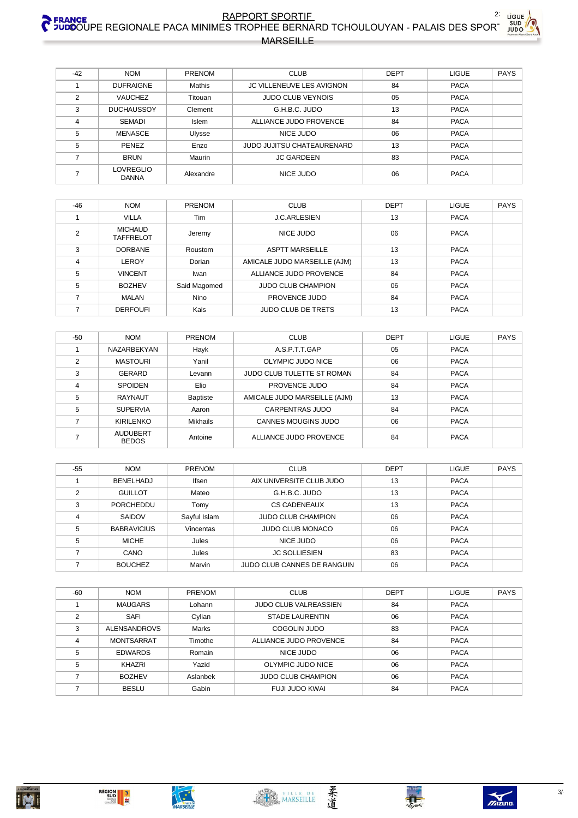# RAPPORT SPORTIE FRANCE 22 LIGUE AND RAPPORT SPORTIE 22 LIGUE 22 LIGUE **MARSEILLE**

| $-42$          | <b>NOM</b>                | <b>PRENOM</b> | <b>CLUB</b>                       | <b>DEPT</b> | <b>LIGUE</b> | <b>PAYS</b> |
|----------------|---------------------------|---------------|-----------------------------------|-------------|--------------|-------------|
|                | <b>DUFRAIGNE</b>          | Mathis        | JC VILLENEUVE LES AVIGNON         | 84          | <b>PACA</b>  |             |
| $\overline{2}$ | <b>VAUCHEZ</b>            | Titouan       | <b>JUDO CLUB VEYNOIS</b>          | 05          | <b>PACA</b>  |             |
| 3              | <b>DUCHAUSSOY</b>         | Clement       | G.H.B.C. JUDO                     | 13          | <b>PACA</b>  |             |
| 4              | <b>SEMADI</b>             | <b>Islem</b>  | ALLIANCE JUDO PROVENCE            | 84          | <b>PACA</b>  |             |
| 5              | MENASCE                   | Ulysse        | NICE JUDO                         | 06          | <b>PACA</b>  |             |
| 5              | PENEZ                     | Enzo          | <b>JUDO JUJITSU CHATEAURENARD</b> | 13          | <b>PACA</b>  |             |
|                | <b>BRUN</b>               | Maurin        | <b>JC GARDEEN</b>                 | 83          | <b>PACA</b>  |             |
|                | LOVREGLIO<br><b>DANNA</b> | Alexandre     | NICE JUDO                         | 06          | <b>PACA</b>  |             |

| $-46$          | <b>NOM</b>                         | PRENOM       | <b>CLUB</b>                  | <b>DEPT</b> | LIGUE       | <b>PAYS</b> |
|----------------|------------------------------------|--------------|------------------------------|-------------|-------------|-------------|
|                | <b>VILLA</b>                       | Tim          | <b>J.C.ARLESIEN</b>          | 13          | <b>PACA</b> |             |
| $\overline{2}$ | <b>MICHAUD</b><br><b>TAFFRELOT</b> | Jeremy       | NICE JUDO                    | 06          | <b>PACA</b> |             |
| 3              | <b>DORBANE</b>                     | Roustom      | <b>ASPTT MARSEILLE</b>       | 13          | <b>PACA</b> |             |
| $\overline{4}$ | LEROY                              | Dorian       | AMICALE JUDO MARSEILLE (AJM) | 13          | <b>PACA</b> |             |
| 5              | <b>VINCENT</b>                     | Iwan         | ALLIANCE JUDO PROVENCE       | 84          | <b>PACA</b> |             |
| 5              | <b>BOZHEV</b>                      | Said Magomed | <b>JUDO CLUB CHAMPION</b>    | 06          | <b>PACA</b> |             |
|                | <b>MALAN</b>                       | <b>Nino</b>  | PROVENCE JUDO                | 84          | <b>PACA</b> |             |
|                | <b>DERFOUFI</b>                    | Kais         | <b>JUDO CLUB DE TRETS</b>    | 13          | <b>PACA</b> |             |

| -50            | <b>NOM</b>               | <b>PRENOM</b>   | <b>CLUB</b>                  | <b>DEPT</b> | <b>LIGUE</b> | <b>PAYS</b> |
|----------------|--------------------------|-----------------|------------------------------|-------------|--------------|-------------|
|                | NAZARBEKYAN              | Hayk            | A.S.P.T.T.GAP                | 05          | <b>PACA</b>  |             |
| $\mathfrak{p}$ | <b>MASTOURI</b>          | Yanil           | OLYMPIC JUDO NICE            | 06          | <b>PACA</b>  |             |
| 3              | GERARD                   | Levann          | JUDO CLUB TULETTE ST ROMAN   | 84          | <b>PACA</b>  |             |
| 4              | <b>SPOIDEN</b>           | Elio            | PROVENCE JUDO                | 84          | <b>PACA</b>  |             |
| 5              | <b>RAYNAUT</b>           | <b>Baptiste</b> | AMICALE JUDO MARSEILLE (AJM) | 13          | <b>PACA</b>  |             |
| 5              | <b>SUPERVIA</b>          | Aaron           | CARPENTRAS JUDO              | 84          | <b>PACA</b>  |             |
|                | <b>KIRILENKO</b>         | <b>Mikhails</b> | <b>CANNES MOUGINS JUDO</b>   | 06          | <b>PACA</b>  |             |
|                | AUDUBERT<br><b>BEDOS</b> | Antoine         | ALLIANCE JUDO PROVENCE       | 84          | <b>PACA</b>  |             |

| $-55$ | <b>NOM</b>         | <b>PRENOM</b> | <b>CLUB</b>                 | <b>DEPT</b> | <b>LIGUE</b> | <b>PAYS</b> |
|-------|--------------------|---------------|-----------------------------|-------------|--------------|-------------|
|       | <b>BENELHADJ</b>   | Ifsen         | AIX UNIVERSITE CLUB JUDO    | 13          | <b>PACA</b>  |             |
| っ     | <b>GUILLOT</b>     | Mateo         | G.H.B.C. JUDO               | 13          | <b>PACA</b>  |             |
| 3     | PORCHEDDU          | Tomy          | <b>CS CADENEAUX</b>         | 13          | <b>PACA</b>  |             |
|       | SAIDOV             | Sayful Islam  | <b>JUDO CLUB CHAMPION</b>   | 06          | <b>PACA</b>  |             |
| 5     | <b>BABRAVICIUS</b> | Vincentas     | <b>JUDO CLUB MONACO</b>     | 06          | <b>PACA</b>  |             |
| 5     | <b>MICHE</b>       | Jules         | NICE JUDO                   | 06          | <b>PACA</b>  |             |
|       | CANO               | Jules         | <b>JC SOLLIESIEN</b>        | 83          | <b>PACA</b>  |             |
|       | <b>BOUCHEZ</b>     | Marvin        | JUDO CLUB CANNES DE RANGUIN | 06          | <b>PACA</b>  |             |

| $-60$ | <b>NOM</b>          | <b>PRENOM</b> | <b>CLUB</b>                  | DEPT | <b>LIGUE</b> | <b>PAYS</b> |
|-------|---------------------|---------------|------------------------------|------|--------------|-------------|
|       | <b>MAUGARS</b>      | Lohann        | <b>JUDO CLUB VALREASSIEN</b> | 84   | <b>PACA</b>  |             |
| っ     | <b>SAFI</b>         | Cylian        | <b>STADE LAURENTIN</b>       | 06   | <b>PACA</b>  |             |
| 3     | <b>ALENSANDROVS</b> | Marks         | COGOLIN JUDO                 | 83   | <b>PACA</b>  |             |
| 4     | <b>MONTSARRAT</b>   | Timothe       | ALLIANCE JUDO PROVENCE       | 84   | <b>PACA</b>  |             |
| 5     | <b>EDWARDS</b>      | Romain        | NICE JUDO                    | 06   | <b>PACA</b>  |             |
| 5     | KHAZRI              | Yazid         | OLYMPIC JUDO NICE            | 06   | <b>PACA</b>  |             |
|       | <b>BOZHEV</b>       | Aslanbek      | <b>JUDO CLUB CHAMPION</b>    | 06   | <b>PACA</b>  |             |
|       | <b>BESLU</b>        | Gabin         | FUJI JUDO KWAI               | 84   | <b>PACA</b>  |             |





柔道

 $\frac{1}{5}$